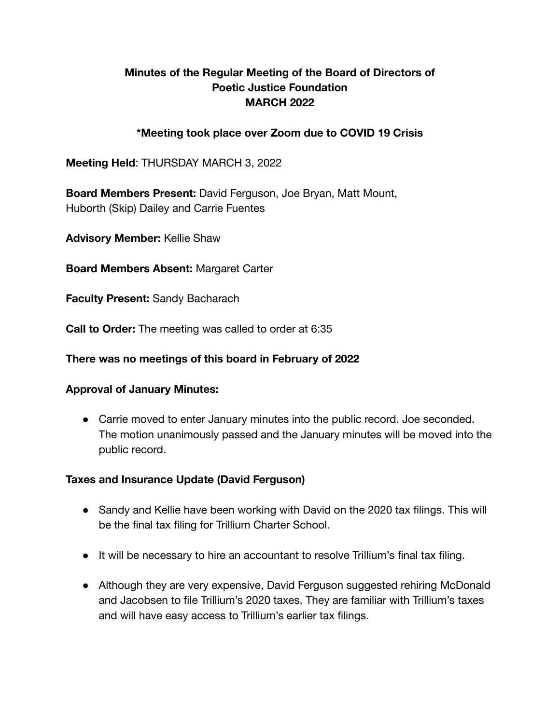## **Minutes of the Regular Meeting of the Board of Directors of Poetic Justice Foundation MARCH 2022**

### **\*Meeting took place over Zoom due to COVID 19 Crisis**

**Meeting Held**: THURSDAY MARCH 3, 2022

**Board Members Present:** David Ferguson, Joe Bryan, Matt Mount, Huborth (Skip) Dailey and Carrie Fuentes

**Advisory Member:** Kellie Shaw

**Board Members Absent:** Margaret Carter

**Faculty Present:** Sandy Bacharach

**Call to Order:** The meeting was called to order at 6:35

#### **There was no meetings of this board in February of 2022**

#### **Approval of January Minutes:**

● Carrie moved to enter January minutes into the public record. Joe seconded. The motion unanimously passed and the January minutes will be moved into the public record.

#### **Taxes and Insurance Update (David Ferguson)**

- Sandy and Kellie have been working with David on the 2020 tax filings. This will be the final tax filing for Trillium Charter School.
- It will be necessary to hire an accountant to resolve Trillium's final tax filing.
- Although they are very expensive, David Ferguson suggested rehiring McDonald and Jacobsen to file Trillium's 2020 taxes. They are familiar with Trillium's taxes and will have easy access to Trillium's earlier tax filings.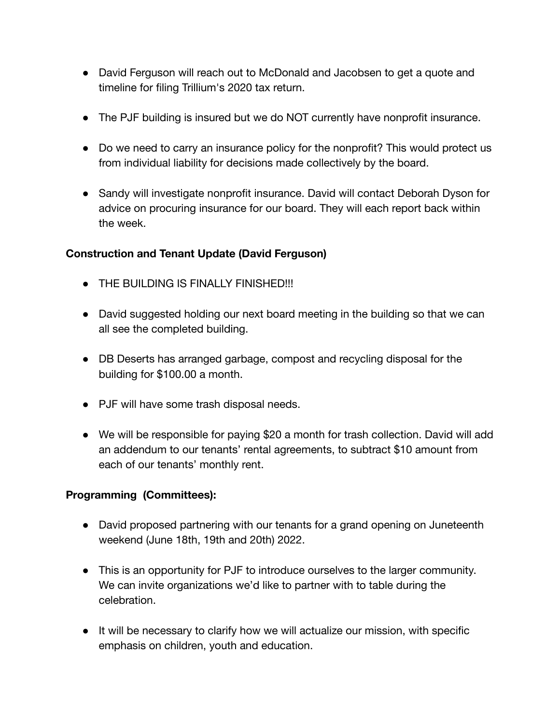- David Ferguson will reach out to McDonald and Jacobsen to get a quote and timeline for filing Trillium's 2020 tax return.
- The PJF building is insured but we do NOT currently have nonprofit insurance.
- Do we need to carry an insurance policy for the nonprofit? This would protect us from individual liability for decisions made collectively by the board.
- Sandy will investigate nonprofit insurance. David will contact Deborah Dyson for advice on procuring insurance for our board. They will each report back within the week.

## **Construction and Tenant Update (David Ferguson)**

- **THE BUILDING IS FINALLY FINISHED!!!**
- David suggested holding our next board meeting in the building so that we can all see the completed building.
- DB Deserts has arranged garbage, compost and recycling disposal for the building for \$100.00 a month.
- PJF will have some trash disposal needs.
- We will be responsible for paying \$20 a month for trash collection. David will add an addendum to our tenants' rental agreements, to subtract \$10 amount from each of our tenants' monthly rent.

## **Programming (Committees):**

- David proposed partnering with our tenants for a grand opening on Juneteenth weekend (June 18th, 19th and 20th) 2022.
- This is an opportunity for PJF to introduce ourselves to the larger community. We can invite organizations we'd like to partner with to table during the celebration.
- It will be necessary to clarify how we will actualize our mission, with specific emphasis on children, youth and education.